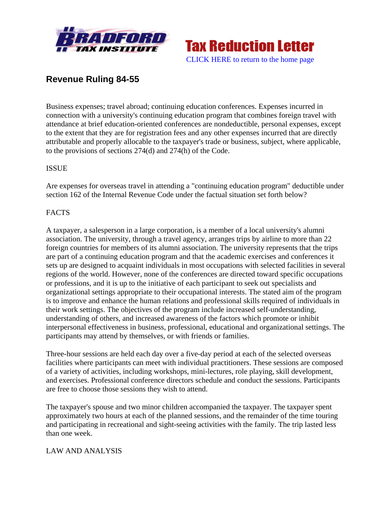



# **Revenue Ruling 84-55**

Business expenses; travel abroad; continuing education conferences. Expenses incurred in connection with a university's continuing education program that combines foreign travel with attendance at brief education-oriented conferences are nondeductible, personal expenses, except to the extent that they are for registration fees and any other expenses incurred that are directly attributable and properly allocable to the taxpayer's trade or business, subject, where applicable, to the provisions of sections 274(d) and 274(h) of the Code.

### ISSUE

Are expenses for overseas travel in attending a "continuing education program" deductible under section 162 of the Internal Revenue Code under the factual situation set forth below?

### **FACTS**

A taxpayer, a salesperson in a large corporation, is a member of a local university's alumni association. The university, through a travel agency, arranges trips by airline to more than 22 foreign countries for members of its alumni association. The university represents that the trips are part of a continuing education program and that the academic exercises and conferences it sets up are designed to acquaint individuals in most occupations with selected facilities in several regions of the world. However, none of the conferences are directed toward specific occupations or professions, and it is up to the initiative of each participant to seek out specialists and organizational settings appropriate to their occupational interests. The stated aim of the program is to improve and enhance the human relations and professional skills required of individuals in their work settings. The objectives of the program include increased self-understanding, understanding of others, and increased awareness of the factors which promote or inhibit interpersonal effectiveness in business, professional, educational and organizational settings. The participants may attend by themselves, or with friends or families.

Three-hour sessions are held each day over a five-day period at each of the selected overseas facilities where participants can meet with individual practitioners. These sessions are composed of a variety of activities, including workshops, mini-lectures, role playing, skill development, and exercises. Professional conference directors schedule and conduct the sessions. Participants are free to choose those sessions they wish to attend.

The taxpayer's spouse and two minor children accompanied the taxpayer. The taxpayer spent approximately two hours at each of the planned sessions, and the remainder of the time touring and participating in recreational and sight-seeing activities with the family. The trip lasted less than one week.

#### LAW AND ANALYSIS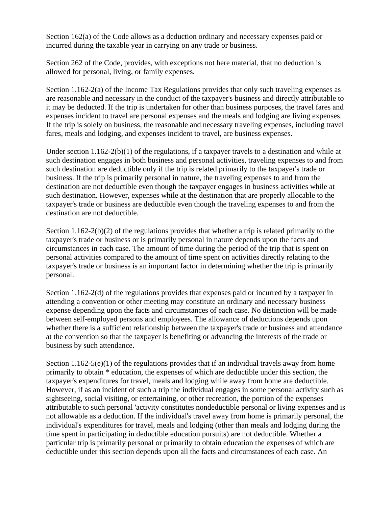Section 162(a) of the Code allows as a deduction ordinary and necessary expenses paid or incurred during the taxable year in carrying on any trade or business.

Section 262 of the Code, provides, with exceptions not here material, that no deduction is allowed for personal, living, or family expenses.

Section 1.162-2(a) of the Income Tax Regulations provides that only such traveling expenses as are reasonable and necessary in the conduct of the taxpayer's business and directly attributable to it may be deducted. If the trip is undertaken for other than business purposes, the travel fares and expenses incident to travel are personal expenses and the meals and lodging are living expenses. If the trip is solely on business, the reasonable and necessary traveling expenses, including travel fares, meals and lodging, and expenses incident to travel, are business expenses.

Under section 1.162-2(b)(1) of the regulations, if a taxpayer travels to a destination and while at such destination engages in both business and personal activities, traveling expenses to and from such destination are deductible only if the trip is related primarily to the taxpayer's trade or business. If the trip is primarily personal in nature, the traveling expenses to and from the destination are not deductible even though the taxpayer engages in business activities while at such destination. However, expenses while at the destination that are properly allocable to the taxpayer's trade or business are deductible even though the traveling expenses to and from the destination are not deductible.

Section 1.162-2(b)(2) of the regulations provides that whether a trip is related primarily to the taxpayer's trade or business or is primarily personal in nature depends upon the facts and circumstances in each case. The amount of time during the period of the trip that is spent on personal activities compared to the amount of time spent on activities directly relating to the taxpayer's trade or business is an important factor in determining whether the trip is primarily personal.

Section 1.162-2(d) of the regulations provides that expenses paid or incurred by a taxpayer in attending a convention or other meeting may constitute an ordinary and necessary business expense depending upon the facts and circumstances of each case. No distinction will be made between self-employed persons and employees. The allowance of deductions depends upon whether there is a sufficient relationship between the taxpayer's trade or business and attendance at the convention so that the taxpayer is benefiting or advancing the interests of the trade or business by such attendance.

Section 1.162-5(e)(1) of the regulations provides that if an individual travels away from home primarily to obtain \* education, the expenses of which are deductible under this section, the taxpayer's expenditures for travel, meals and lodging while away from home are deductible. However, if as an incident of such a trip the individual engages in some personal activity such as sightseeing, social visiting, or entertaining, or other recreation, the portion of the expenses attributable to such personal 'activity constitutes nondeductible personal or living expenses and is not allowable as a deduction. If the individual's travel away from home is primarily personal, the individual's expenditures for travel, meals and lodging (other than meals and lodging during the time spent in participating in deductible education pursuits) are not deductible. Whether a particular trip is primarily personal or primarily to obtain education the expenses of which are deductible under this section depends upon all the facts and circumstances of each case. An